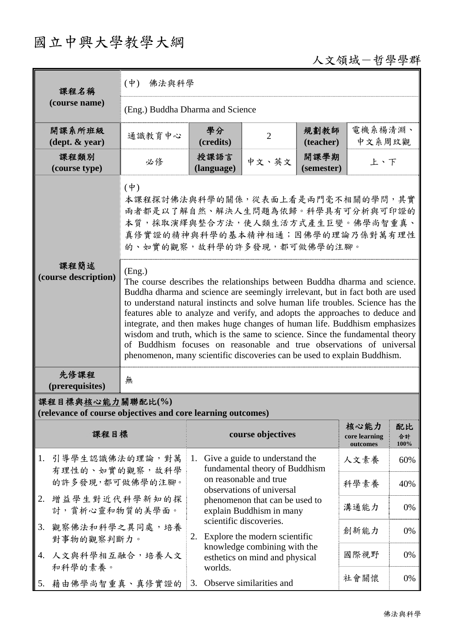## 國立中興大學教學大綱

## 人文領域-哲學學群

| 課程名稱<br>(course name)                                                           | $(\phi)$<br>佛法與科學                                                                                                                                                                                                                                                                                                                                                                                                                                                                                                                                                                                                                                       |                                                                |                                                                                       |                    |                                   |                  |  |  |  |
|---------------------------------------------------------------------------------|---------------------------------------------------------------------------------------------------------------------------------------------------------------------------------------------------------------------------------------------------------------------------------------------------------------------------------------------------------------------------------------------------------------------------------------------------------------------------------------------------------------------------------------------------------------------------------------------------------------------------------------------------------|----------------------------------------------------------------|---------------------------------------------------------------------------------------|--------------------|-----------------------------------|------------------|--|--|--|
|                                                                                 | (Eng.) Buddha Dharma and Science                                                                                                                                                                                                                                                                                                                                                                                                                                                                                                                                                                                                                        |                                                                |                                                                                       |                    |                                   |                  |  |  |  |
| 開課系所班級<br>$(\text{dept.} \& \text{ year})$                                      | 通識教育中心                                                                                                                                                                                                                                                                                                                                                                                                                                                                                                                                                                                                                                                  | 學分<br>(credits)                                                | $\overline{2}$                                                                        | 規劃教師<br>(teacher)  | 電機系楊清淵、<br>中文系周玟觀                 |                  |  |  |  |
| 課程類別<br>(course type)                                                           | 必修                                                                                                                                                                                                                                                                                                                                                                                                                                                                                                                                                                                                                                                      | 授課語言<br>(language)                                             | 中文、英文                                                                                 | 開課學期<br>(semester) | 上、下                               |                  |  |  |  |
|                                                                                 | $(\dagger)$<br>本課程探討佛法與科學的關係,從表面上看是兩門毫不相關的學問,其實<br>兩者都是以了解自然、解決人生問題為依歸。科學具有可分析與可印證的<br>本質,採取演繹與整合方法,使人類生活方式產生巨變。佛學尚智重真、<br>真修實證的精神與科學的基本精神相通;因佛學的理論乃係對萬有理性<br>的、如實的觀察,故科學的許多發現,都可做佛學的注腳。                                                                                                                                                                                                                                                                                                                                                                                                                                                                |                                                                |                                                                                       |                    |                                   |                  |  |  |  |
| 課程簡述<br>(course description)                                                    | (Eng.)<br>The course describes the relationships between Buddha dharma and science.<br>Buddha dharma and science are seemingly irrelevant, but in fact both are used<br>to understand natural instincts and solve human life troubles. Science has the<br>features able to analyze and verify, and adopts the approaches to deduce and<br>integrate, and then makes huge changes of human life. Buddhism emphasizes<br>wisdom and truth, which is the same to science. Since the fundamental theory<br>of Buddhism focuses on reasonable and true observations of universal<br>phenomenon, many scientific discoveries can be used to explain Buddhism. |                                                                |                                                                                       |                    |                                   |                  |  |  |  |
| 先修課程<br>(prerequisites)                                                         | 無                                                                                                                                                                                                                                                                                                                                                                                                                                                                                                                                                                                                                                                       |                                                                |                                                                                       |                    |                                   |                  |  |  |  |
| 課程目標與核心能力關聯配比(%)<br>(relevance of course objectives and core learning outcomes) |                                                                                                                                                                                                                                                                                                                                                                                                                                                                                                                                                                                                                                                         |                                                                |                                                                                       |                    |                                   |                  |  |  |  |
| 課程目標                                                                            |                                                                                                                                                                                                                                                                                                                                                                                                                                                                                                                                                                                                                                                         | course objectives                                              |                                                                                       |                    | 核心能力<br>core learning<br>outcomes | 配比<br>合計<br>100% |  |  |  |
| 引導學生認識佛法的理論,對萬<br>1.<br>有理性的、如實的觀察,故科學                                          |                                                                                                                                                                                                                                                                                                                                                                                                                                                                                                                                                                                                                                                         | 1.                                                             | Give a guide to understand the<br>fundamental theory of Buddhism                      |                    | 人文素養                              | 60%              |  |  |  |
| 的許多發現,都可做佛學的注腳。<br>2. 增益學生對近代科學新知的探                                             |                                                                                                                                                                                                                                                                                                                                                                                                                                                                                                                                                                                                                                                         | on reasonable and true<br>observations of universal            |                                                                                       | 科學素養               | 40%                               |                  |  |  |  |
| 討, 賞析心靈和物質的美學面。                                                                 |                                                                                                                                                                                                                                                                                                                                                                                                                                                                                                                                                                                                                                                         |                                                                | phenomenon that can be used to<br>explain Buddhism in many<br>scientific discoveries. |                    | 溝通能力                              | 0%               |  |  |  |
| 觀察佛法和科學之異同處,培養<br>3.<br>對事物的觀察判斷力。                                              |                                                                                                                                                                                                                                                                                                                                                                                                                                                                                                                                                                                                                                                         | 2.                                                             | Explore the modern scientific                                                         |                    | 創新能力                              | 0%               |  |  |  |
| 人文與科學相互融合,培養人文<br>4.<br>和科學的素養。                                                 |                                                                                                                                                                                                                                                                                                                                                                                                                                                                                                                                                                                                                                                         | knowledge combining with the<br>esthetics on mind and physical |                                                                                       |                    | 國際視野                              | 0%               |  |  |  |
| 5. 藉由佛學尚智重真、真修實證的                                                               |                                                                                                                                                                                                                                                                                                                                                                                                                                                                                                                                                                                                                                                         | worlds.                                                        | 3. Observe similarities and                                                           |                    |                                   | 0%               |  |  |  |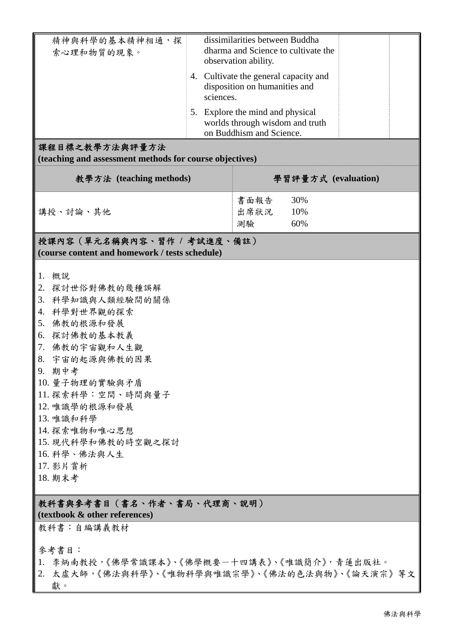| 精神與科學的基本精神相通,探                                                      |                          | dissimilarities between Buddha |                                       |  |  |  |  |  |  |
|---------------------------------------------------------------------|--------------------------|--------------------------------|---------------------------------------|--|--|--|--|--|--|
| 索心理和物質的現象。                                                          |                          |                                | dharma and Science to cultivate the   |  |  |  |  |  |  |
|                                                                     |                          | observation ability.           |                                       |  |  |  |  |  |  |
|                                                                     |                          |                                | 4. Cultivate the general capacity and |  |  |  |  |  |  |
|                                                                     |                          | disposition on humanities and  |                                       |  |  |  |  |  |  |
|                                                                     | sciences.                |                                |                                       |  |  |  |  |  |  |
|                                                                     |                          |                                |                                       |  |  |  |  |  |  |
| 5. Explore the mind and physical<br>worlds through wisdom and truth |                          |                                |                                       |  |  |  |  |  |  |
|                                                                     | on Buddhism and Science. |                                |                                       |  |  |  |  |  |  |
| 課程目標之教學方法與評量方法                                                      |                          |                                |                                       |  |  |  |  |  |  |
| (teaching and assessment methods for course objectives)             |                          |                                |                                       |  |  |  |  |  |  |
|                                                                     |                          |                                |                                       |  |  |  |  |  |  |
| 教學方法 (teaching methods)                                             | 學習評量方式 (evaluation)      |                                |                                       |  |  |  |  |  |  |
|                                                                     |                          |                                |                                       |  |  |  |  |  |  |
|                                                                     |                          | 書面報告                           | 30%                                   |  |  |  |  |  |  |
| 講授、討論、其他                                                            |                          | 出席狀況                           | 10%                                   |  |  |  |  |  |  |
|                                                                     |                          | 測驗                             | 60%                                   |  |  |  |  |  |  |
|                                                                     |                          |                                |                                       |  |  |  |  |  |  |
| 授課內容 (單元名稱與內容、習作 / 考試進度、備註)                                         |                          |                                |                                       |  |  |  |  |  |  |
| (course content and homework / tests schedule)                      |                          |                                |                                       |  |  |  |  |  |  |
|                                                                     |                          |                                |                                       |  |  |  |  |  |  |
| 1.<br>概說                                                            |                          |                                |                                       |  |  |  |  |  |  |
| 2. 探討世俗對佛教的幾種誤解                                                     |                          |                                |                                       |  |  |  |  |  |  |
| 3. 科學知識與人類經驗間的關係                                                    |                          |                                |                                       |  |  |  |  |  |  |
| 4. 科學對世界觀的探索                                                        |                          |                                |                                       |  |  |  |  |  |  |
| 5.<br>佛教的根源和發展                                                      |                          |                                |                                       |  |  |  |  |  |  |
| 6. 探討佛教的基本教義                                                        |                          |                                |                                       |  |  |  |  |  |  |
| 7. 佛教的宇宙觀和人生觀                                                       |                          |                                |                                       |  |  |  |  |  |  |
| 8. 宇宙的起源與佛教的因果                                                      |                          |                                |                                       |  |  |  |  |  |  |
| 9. 期中考                                                              |                          |                                |                                       |  |  |  |  |  |  |
| 10. 量子物理的實驗與矛盾                                                      |                          |                                |                                       |  |  |  |  |  |  |
| 11. 探索科學:空間、時間與量子                                                   |                          |                                |                                       |  |  |  |  |  |  |
| 12. 唯識學的根源和發展                                                       |                          |                                |                                       |  |  |  |  |  |  |
| 13. 唯識和科學                                                           |                          |                                |                                       |  |  |  |  |  |  |
| 14. 探索唯物和唯心思想                                                       |                          |                                |                                       |  |  |  |  |  |  |
| 15. 現代科學和佛教的時空觀之探討                                                  |                          |                                |                                       |  |  |  |  |  |  |
| 16. 科學、佛法與人生                                                        |                          |                                |                                       |  |  |  |  |  |  |
| 17. 影片賞析                                                            |                          |                                |                                       |  |  |  |  |  |  |
| 18. 期末考                                                             |                          |                                |                                       |  |  |  |  |  |  |
|                                                                     |                          |                                |                                       |  |  |  |  |  |  |
|                                                                     |                          |                                |                                       |  |  |  |  |  |  |
| 教科書與參考書目(書名、作者、書局、代理商、說明)<br>(textbook & other references)          |                          |                                |                                       |  |  |  |  |  |  |
| 教科書:自編講義教材                                                          |                          |                                |                                       |  |  |  |  |  |  |
|                                                                     |                          |                                |                                       |  |  |  |  |  |  |
| 參考書目:                                                               |                          |                                |                                       |  |  |  |  |  |  |
| 1. 李炳南教授,《佛學常識課本》、《佛學概要一十四講表》、《唯識簡介》, 青蓮出版社。                        |                          |                                |                                       |  |  |  |  |  |  |
| 2. 太虛大師,《佛法與科學》、《唯物科學與唯識宗學》、《佛法的色法與物》、《論天演宗》等文                      |                          |                                |                                       |  |  |  |  |  |  |
| 獻。                                                                  |                          |                                |                                       |  |  |  |  |  |  |